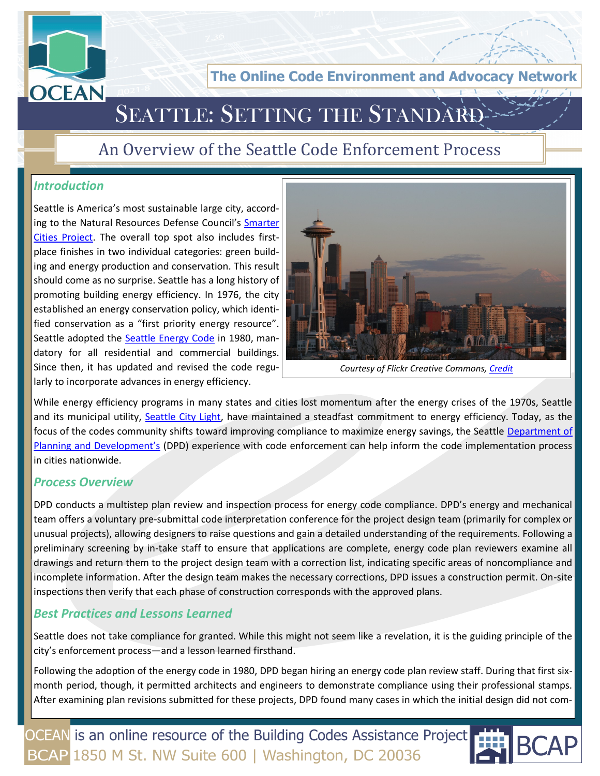

**The Online Code Environment and Advocacy N** 

## SEATTLE: SETTING THE STANDARI

### An Overview of the Seattle Code Enforcement Process

#### *Introduction*

Seattle is America's most sustainable large city, according to the Natural Resources Defense Council's Smarter [Cities Project.](http://smartercities.nrdc.org/rankings/large) The overall top spot also includes firstplace finishes in two individual categories: green building and energy production and conservation. This result should come as no surprise. Seattle has a long history of promoting building energy efficiency. In 1976, the city established an energy conservation policy, which identified conservation as a "first priority energy resource". Seattle adopted the [Seattle Energy Code](http://www.seattle.gov/DPD/Codes/Energy_Code/Overview/default.asp) in 1980, mandatory for all residential and commercial buildings. Since then, it has updated and revised the code regularly to incorporate advances in energy efficiency.



*Courtesy of Flickr Creative Commons, [Credit](http://www.flickr.com/photos/michaelrighi/115067514/)*

While energy efficiency programs in many states and cities lost momentum after the energy crises of the 1970s, Seattle and its municipal utility, [Seattle City Light,](http://www.seattle.gov/light/) have maintained a steadfast commitment to energy efficiency. Today, as the focus of the codes community shifts toward improving compliance to maximize energy savings, the Seattle Department of [Planning and Development's](http://www.seattle.gov/dpd/X:/My%20Documents/Downloads) (DPD) experience with code enforcement can help inform the code implementation process in cities nationwide.

#### *Process Overview*

DPD conducts a multistep plan review and inspection process for energy code compliance. DPD's energy and mechanical team offers a voluntary pre-submittal code interpretation conference for the project design team (primarily for complex or unusual projects), allowing designers to raise questions and gain a detailed understanding of the requirements. Following a preliminary screening by in-take staff to ensure that applications are complete, energy code plan reviewers examine all drawings and return them to the project design team with a correction list, indicating specific areas of noncompliance and incomplete information. After the design team makes the necessary corrections, DPD issues a construction permit. On-site inspections then verify that each phase of construction corresponds with the approved plans.

#### *Best Practices and Lessons Learned*

Seattle does not take compliance for granted. While this might not seem like a revelation, it is the guiding principle of the city's enforcement process—and a lesson learned firsthand.

Following the adoption of the energy code in 1980, DPD began hiring an energy code plan review staff. During that first sixmonth period, though, it permitted architects and engineers to demonstrate compliance using their professional stamps. After examining plan revisions submitted for these projects, DPD found many cases in which the initial design did not com-

OCEAN is an online resource of the Building Codes Assistance Project BCAP 1850 M St. NW Suite 600 | Washington, DC 20036